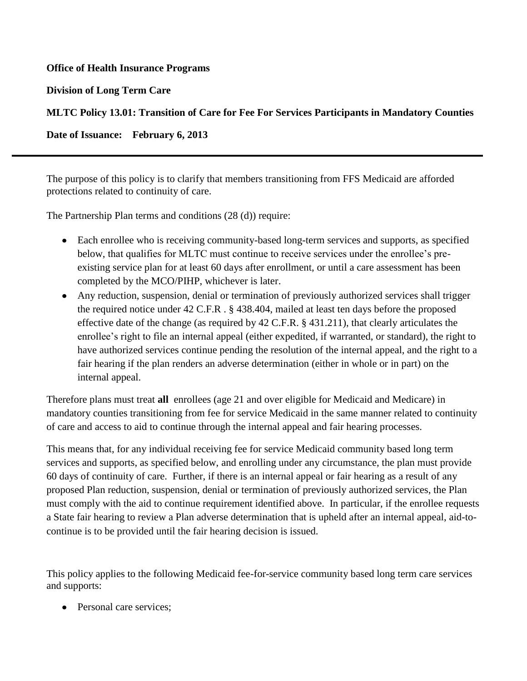### **Office of Health Insurance Programs**

**Division of Long Term Care**

# **MLTC Policy 13.01: Transition of Care for Fee For Services Participants in Mandatory Counties**

**Date of Issuance: February 6, 2013**

The purpose of this policy is to clarify that members transitioning from FFS Medicaid are afforded protections related to continuity of care.

The Partnership Plan terms and conditions (28 (d)) require:

- Each enrollee who is receiving community-based long-term services and supports, as specified below, that qualifies for MLTC must continue to receive services under the enrollee's preexisting service plan for at least 60 days after enrollment, or until a care assessment has been completed by the MCO/PIHP, whichever is later.
- Any reduction, suspension, denial or termination of previously authorized services shall trigger the required notice under 42 C.F.R . § 438.404, mailed at least ten days before the proposed effective date of the change (as required by 42 C.F.R. § 431.211), that clearly articulates the enrollee's right to file an internal appeal (either expedited, if warranted, or standard), the right to have authorized services continue pending the resolution of the internal appeal, and the right to a fair hearing if the plan renders an adverse determination (either in whole or in part) on the internal appeal.

Therefore plans must treat **all** enrollees (age 21 and over eligible for Medicaid and Medicare) in mandatory counties transitioning from fee for service Medicaid in the same manner related to continuity of care and access to aid to continue through the internal appeal and fair hearing processes.

This means that, for any individual receiving fee for service Medicaid community based long term services and supports, as specified below, and enrolling under any circumstance, the plan must provide 60 days of continuity of care. Further, if there is an internal appeal or fair hearing as a result of any proposed Plan reduction, suspension, denial or termination of previously authorized services, the Plan must comply with the aid to continue requirement identified above. In particular, if the enrollee requests a State fair hearing to review a Plan adverse determination that is upheld after an internal appeal, aid-tocontinue is to be provided until the fair hearing decision is issued.

This policy applies to the following Medicaid fee-for-service community based long term care services and supports:

• Personal care services: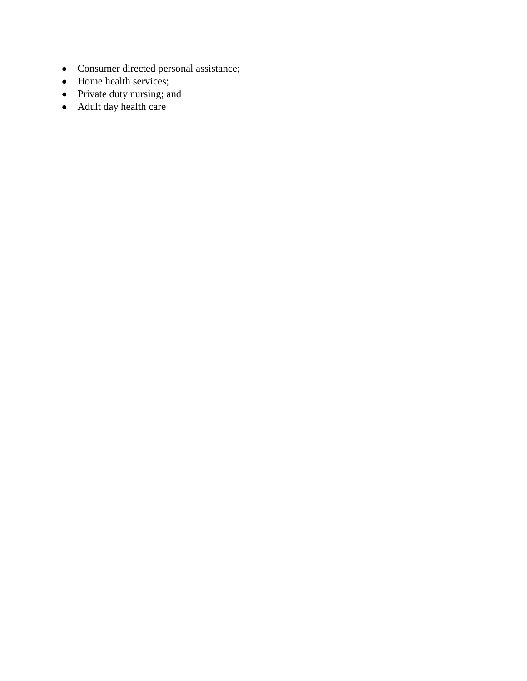- Consumer directed personal assistance;
- Home health services;
- Private duty nursing; and
- Adult day health care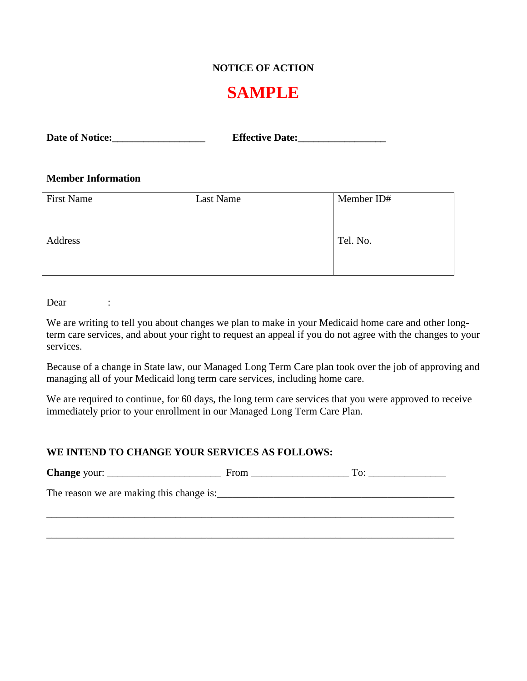# **NOTICE OF ACTION**

# **SAMPLE**

#### **Member Information**

| <b>First Name</b> | Last Name | Member ID# |
|-------------------|-----------|------------|
|                   |           |            |
|                   |           |            |
| Address           |           | Tel. No.   |
|                   |           |            |
|                   |           |            |

Dear :

We are writing to tell you about changes we plan to make in your Medicaid home care and other longterm care services, and about your right to request an appeal if you do not agree with the changes to your services.

Because of a change in State law, our Managed Long Term Care plan took over the job of approving and managing all of your Medicaid long term care services, including home care.

We are required to continue, for 60 days, the long term care services that you were approved to receive immediately prior to your enrollment in our Managed Long Term Care Plan.

#### **WE INTEND TO CHANGE YOUR SERVICES AS FOLLOWS:**

| Change your:                             | From | To: |
|------------------------------------------|------|-----|
| The reason we are making this change is: |      |     |
|                                          |      |     |

\_\_\_\_\_\_\_\_\_\_\_\_\_\_\_\_\_\_\_\_\_\_\_\_\_\_\_\_\_\_\_\_\_\_\_\_\_\_\_\_\_\_\_\_\_\_\_\_\_\_\_\_\_\_\_\_\_\_\_\_\_\_\_\_\_\_\_\_\_\_\_\_\_\_\_\_\_\_\_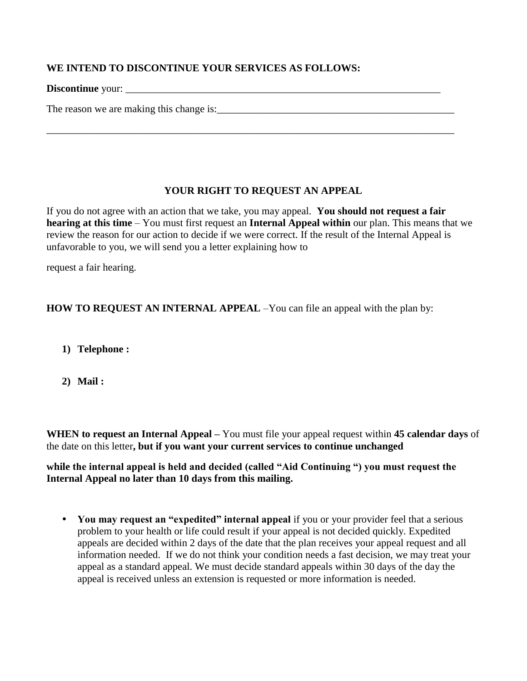## **WE INTEND TO DISCONTINUE YOUR SERVICES AS FOLLOWS:**

**Discontinue** your: \_\_\_\_\_\_\_\_\_\_\_\_\_\_\_\_\_\_\_\_\_\_\_\_\_\_\_\_\_\_\_\_\_\_\_\_\_\_\_\_\_\_\_\_\_\_\_\_\_\_\_\_\_\_\_\_\_\_\_\_\_

The reason we are making this change is:\_\_\_\_\_\_\_\_\_\_\_\_\_\_\_\_\_\_\_\_\_\_\_\_\_\_\_\_\_\_\_\_\_\_\_\_\_\_\_\_\_\_\_\_\_\_

## **YOUR RIGHT TO REQUEST AN APPEAL**

\_\_\_\_\_\_\_\_\_\_\_\_\_\_\_\_\_\_\_\_\_\_\_\_\_\_\_\_\_\_\_\_\_\_\_\_\_\_\_\_\_\_\_\_\_\_\_\_\_\_\_\_\_\_\_\_\_\_\_\_\_\_\_\_\_\_\_\_\_\_\_\_\_\_\_\_\_\_\_

If you do not agree with an action that we take, you may appeal. **You should not request a fair hearing at this time** – You must first request an **Internal Appeal within** our plan. This means that we review the reason for our action to decide if we were correct. If the result of the Internal Appeal is unfavorable to you, we will send you a letter explaining how to

request a fair hearing.

**HOW TO REQUEST AN INTERNAL APPEAL** –You can file an appeal with the plan by:

- **1) Telephone :**
- **2) Mail :**

**WHEN to request an Internal Appeal –** You must file your appeal request within **45 calendar days** of the date on this letter**, but if you want your current services to continue unchanged** 

**while the internal appeal is held and decided (called "Aid Continuing ") you must request the Internal Appeal no later than 10 days from this mailing.** 

• You may request an "expedited" internal appeal if you or your provider feel that a serious problem to your health or life could result if your appeal is not decided quickly. Expedited appeals are decided within 2 days of the date that the plan receives your appeal request and all information needed. If we do not think your condition needs a fast decision, we may treat your appeal as a standard appeal. We must decide standard appeals within 30 days of the day the appeal is received unless an extension is requested or more information is needed.